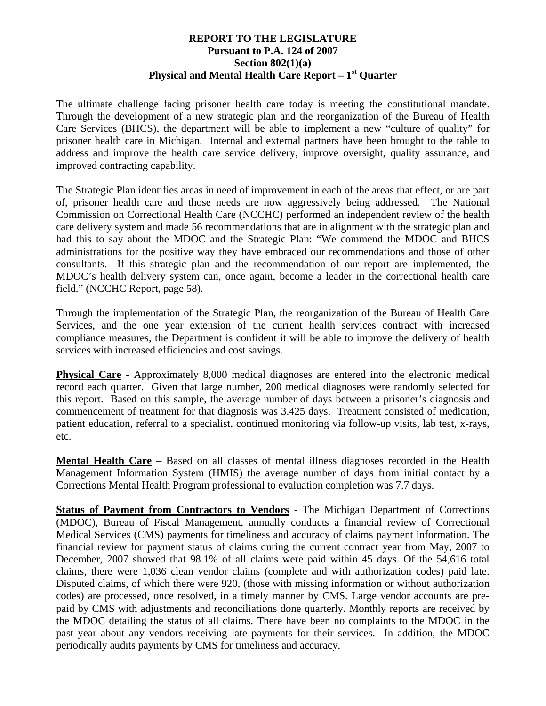## **REPORT TO THE LEGISLATURE Pursuant to P.A. 124 of 2007 Section 802(1)(a) Physical and Mental Health Care Report – 1st Quarter**

The ultimate challenge facing prisoner health care today is meeting the constitutional mandate. Through the development of a new strategic plan and the reorganization of the Bureau of Health Care Services (BHCS), the department will be able to implement a new "culture of quality" for prisoner health care in Michigan. Internal and external partners have been brought to the table to address and improve the health care service delivery, improve oversight, quality assurance, and improved contracting capability.

The Strategic Plan identifies areas in need of improvement in each of the areas that effect, or are part of, prisoner health care and those needs are now aggressively being addressed. The National Commission on Correctional Health Care (NCCHC) performed an independent review of the health care delivery system and made 56 recommendations that are in alignment with the strategic plan and had this to say about the MDOC and the Strategic Plan: "We commend the MDOC and BHCS administrations for the positive way they have embraced our recommendations and those of other consultants. If this strategic plan and the recommendation of our report are implemented, the MDOC's health delivery system can, once again, become a leader in the correctional health care field." (NCCHC Report, page 58).

Through the implementation of the Strategic Plan, the reorganization of the Bureau of Health Care Services, and the one year extension of the current health services contract with increased compliance measures, the Department is confident it will be able to improve the delivery of health services with increased efficiencies and cost savings.

**Physical Care** - Approximately 8,000 medical diagnoses are entered into the electronic medical record each quarter. Given that large number, 200 medical diagnoses were randomly selected for this report. Based on this sample, the average number of days between a prisoner's diagnosis and commencement of treatment for that diagnosis was 3.425 days. Treatment consisted of medication, patient education, referral to a specialist, continued monitoring via follow-up visits, lab test, x-rays, etc.

**Mental Health Care** – Based on all classes of mental illness diagnoses recorded in the Health Management Information System (HMIS) the average number of days from initial contact by a Corrections Mental Health Program professional to evaluation completion was 7.7 days.

**Status of Payment from Contractors to Vendors** - The Michigan Department of Corrections (MDOC), Bureau of Fiscal Management, annually conducts a financial review of Correctional Medical Services (CMS) payments for timeliness and accuracy of claims payment information. The financial review for payment status of claims during the current contract year from May, 2007 to December, 2007 showed that 98.1% of all claims were paid within 45 days. Of the 54,616 total claims, there were 1,036 clean vendor claims (complete and with authorization codes) paid late. Disputed claims, of which there were 920, (those with missing information or without authorization codes) are processed, once resolved, in a timely manner by CMS. Large vendor accounts are prepaid by CMS with adjustments and reconciliations done quarterly. Monthly reports are received by the MDOC detailing the status of all claims. There have been no complaints to the MDOC in the past year about any vendors receiving late payments for their services. In addition, the MDOC periodically audits payments by CMS for timeliness and accuracy.